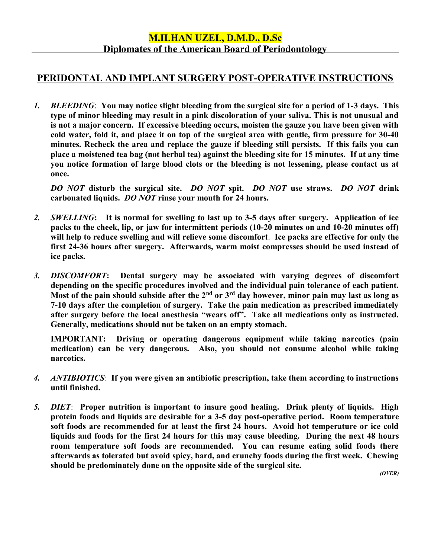## M.ILHAN UZEL, D.M.D., D.Sc Diplomates of the American Board of Periodontology

## PERIDONTAL AND IMPLANT SURGERY POST-OPERATIVE INSTRUCTIONS

 1. BLEEDING: You may notice slight bleeding from the surgical site for a period of 1-3 days. This type of minor bleeding may result in a pink discoloration of your saliva. This is not unusual and is not a major concern. If excessive bleeding occurs, moisten the gauze you have been given with cold water, fold it, and place it on top of the surgical area with gentle, firm pressure for 30-40 minutes. Recheck the area and replace the gauze if bleeding still persists. If this fails you can place a moistened tea bag (not herbal tea) against the bleeding site for 15 minutes. If at any time you notice formation of large blood clots or the bleeding is not lessening, please contact us at once.

DO NOT disturb the surgical site. DO NOT spit. DO NOT use straws. DO NOT drink carbonated liquids. DO NOT rinse your mouth for 24 hours.

- 2. SWELLING: It is normal for swelling to last up to 3-5 days after surgery. Application of ice packs to the cheek, lip, or jaw for intermittent periods (10-20 minutes on and 10-20 minutes off) will help to reduce swelling and will relieve some discomfort. Ice packs are effective for only the first 24-36 hours after surgery. Afterwards, warm moist compresses should be used instead of ice packs.
- 3. DISCOMFORT: Dental surgery may be associated with varying degrees of discomfort depending on the specific procedures involved and the individual pain tolerance of each patient. Most of the pain should subside after the  $2<sup>nd</sup>$  or  $3<sup>rd</sup>$  day however, minor pain may last as long as 7-10 days after the completion of surgery. Take the pain medication as prescribed immediately after surgery before the local anesthesia "wears off". Take all medications only as instructed. Generally, medications should not be taken on an empty stomach.

 IMPORTANT: Driving or operating dangerous equipment while taking narcotics (pain medication) can be very dangerous. Also, you should not consume alcohol while taking narcotics.

- 4. ANTIBIOTICS: If you were given an antibiotic prescription, take them according to instructions until finished.
- 5. DIET: Proper nutrition is important to insure good healing. Drink plenty of liquids. High protein foods and liquids are desirable for a 3-5 day post-operative period. Room temperature soft foods are recommended for at least the first 24 hours. Avoid hot temperature or ice cold liquids and foods for the first 24 hours for this may cause bleeding. During the next 48 hours room temperature soft foods are recommended. You can resume eating solid foods there afterwards as tolerated but avoid spicy, hard, and crunchy foods during the first week. Chewing should be predominately done on the opposite side of the surgical site.

(OVER)